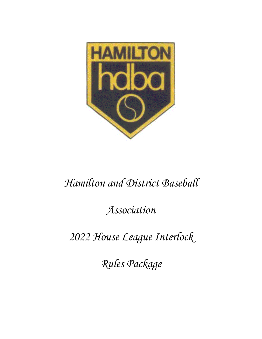

# *Hamilton and District Baseball*

*Association*

*2022 House League Interlock*

*Rules Package*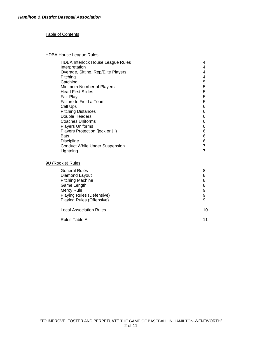#### Table of Contents

#### HDBA House League Rules

| <b>HDBA Interlock House League Rules</b><br>Interpretation<br>Overage, Sitting, Rep/Elite Players<br>Pitching<br>Catching<br>Minimum Number of Players<br><b>Head First Slides</b><br>Fair Play<br>Failure to Field a Team<br>Call Ups<br><b>Pitching Distances</b><br>Double Headers<br><b>Coaches Uniforms</b> | 4<br>4<br>4<br>4<br>5<br>5<br>5<br>5<br>5<br>6<br>6<br>6<br>6 |
|------------------------------------------------------------------------------------------------------------------------------------------------------------------------------------------------------------------------------------------------------------------------------------------------------------------|---------------------------------------------------------------|
| <b>Players Uniforms</b>                                                                                                                                                                                                                                                                                          | 6                                                             |
| Players Protection (jock or jill)<br><b>Bats</b>                                                                                                                                                                                                                                                                 | 6<br>6                                                        |
| <b>Discipline</b>                                                                                                                                                                                                                                                                                                | 6                                                             |
| <b>Conduct While Under Suspension</b>                                                                                                                                                                                                                                                                            | $\overline{7}$                                                |
| Lightning                                                                                                                                                                                                                                                                                                        | $\overline{7}$                                                |
| 9U (Rookie) Rules                                                                                                                                                                                                                                                                                                |                                                               |
| <b>General Rules</b>                                                                                                                                                                                                                                                                                             | 8                                                             |
| Diamond Layout                                                                                                                                                                                                                                                                                                   | 8                                                             |
| <b>Pitching Machine</b>                                                                                                                                                                                                                                                                                          | 8                                                             |
| Game Length<br>Mercy Rule                                                                                                                                                                                                                                                                                        | 8<br>9                                                        |
| Playing Rules (Defensive)                                                                                                                                                                                                                                                                                        | 9                                                             |

| Playing Rules (Offensive)      |  |
|--------------------------------|--|
| <b>Local Association Rules</b> |  |

| Rules Table A |  |
|---------------|--|
|---------------|--|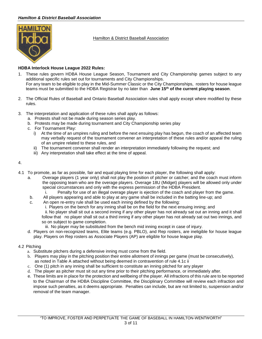#### *Hamilton & District Baseball Association*



Hamilton & District Baseball Association

#### **HDBA Interlock House League 2022 Rules:**

- 1. These rules govern HDBA House League Season, Tournament and City Championship games subject to any additional specific rules set out for tournaments and City Championships. For any team to be eligible to play in the Mid-Summer Classic or the City Championships, rosters for house league teams must be submitted to the HDBA Registrar by no later than **June 15th of the current playing season**.
- 2. The Official Rules of Baseball and Ontario Baseball Association rules shall apply except where modified by these rules.
- 3. The interpretation and application of these rules shall apply as follows:
	- a. Protests shall not be made during season series play.
	- b. Protests may be made during tournament and City Championship series play
	- c. For Tournament Play:
		- i) At the time of an umpires ruling and before the next ensuing play has begun, the coach of an affected team may verbally request of the tournament convener an interpretation of these rules and/or appeal the ruling of an umpire related to these rules, and
		- ii) The tournament convener shall render an interpretation immediately following the request; and
		- iii) Any interpretation shall take effect at the time of appeal.

#### 4.

- 4.1 To promote, as far as possible, fair and equal playing time for each player, the following shall apply:
	- a. Overage players (1 year only) shall not play the position of pitcher or catcher; and the coach must inform the opposing team who are the overage players. Overage 18U (Midget) players will be allowed only under special circumstances and only with the express permission of the HDBA President.<br>Penalty for use of an illegal overage player is ejection of the coach and player
		- Penalty for use of an illegal overage player is ejection of the coach and player from the game.
	- b. All players appearing and able to play at any game shall be included in the batting line-up; and
	- c. An open re-entry rule shall be used each inning defined by the following:
		- i. Players on the bench for any inning shall be on the field for the next ensuing inning; and ii. No player shall sit out a second inning if any other player has not already sat out an inning and it shall follow that no player shall sit out a third inning if any other player has not already sat out two innings, and so on subject to game completion.
			- iii. No player may be substituted from the bench mid inning except in case of injury.
	- d. Players on non-recognized teams, Elite teams (e.g. PBLO), and Rep rosters, are ineligible for house league play. Players on Rep rosters as Associate Players (AP) are eligible for house league play.

#### 4.2 Pitching

- a. Substitute pitchers during a defensive inning must come from the field.
- b. Players may play in the pitching position their entire allotment of innings per game (must be consecutively), as noted in Table A attached without being deemed in contravention of rule 4.1c ii
- c. One (1) pitch in any inning shall be sufficient to constitute an inning pitched for any player
- d. The player as pitcher must sit out any time prior to their pitching performance, or immediately after.
- e. These limits are in place for the protection and wellbeing of the player. All infractions of this rule are to be reported to the Chairman of the HDBA Discipline Committee, the Disciplinary Committee will review each infraction and impose such penalties, as it deems appropriate. Penalties can include, but are not limited to, suspension and/or removal of the team manager.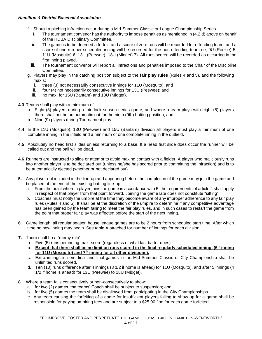- f. Should a pitching infraction occur during a Mid-Summer Classic or League Championship Series
	- i. The tournament convenor has the authority to impose penalties as mentioned in (4.2.d) above on behalf of the HDBA Disciplinary Committee.
	- ii. The game is to be deemed a forfeit, and a score of zero runs will be recorded for offending team, and a score of one run per scheduled inning will be recorded for the non-offending team (ie, 9U (Rookie) 5, 11U (Mosquito) 6, 13U (Peewee) -18U (Midget) 7). All runs scored will be recorded as occurring in the first inning played.
	- iii. The tournament convenor will report all infractions and penalties imposed to the Chair of the Discipline Committee.
- g. Players may play in the catching position subject to the **fair play rules** (Rules 4 and 5), and the following max.s:<br>i thi
	- three (3) not necessarily consecutive innings for 11U (Mosquito); and
	- ii. four (4) not necessarily consecutive innings for 13U (Peewee); and
	- iii. no max. for 15U (Bantam) and 18U (Midget).

#### **4.3** Teams shall play with a minimum of:

- a. Eight (8) players during a interlock season series game; and where a team plays with eight (8) players there shall not be an automatic out for the ninth (9th) batting position; and
- b. Nine (9) players during Tournament play.
- **4.4** In the 11U (Mosquito), 13U (Peewee) and 15U (Bantam) division all players must play a minimum of one complete inning in the infield and a minimum of one complete inning in the outfield.
- **4.5** Absolutely no head first slides unless returning to a base. If a head first slide does occur the runner will be called out and the ball will be dead.
- **4.6** Runners are instructed to slide or attempt to avoid making contact with a fielder. A player who maliciously runs into another player is to be declared out (unless he/she has scored prior to committing the infraction) and is to be automatically ejected (whether or not declared out).
- **5.** Any player not included in the line-up and appearing before the completion of the game may join the game and be placed at the end of the existing batting line-up;
	- a. From the point where a player joins the game in accordance with 5, the requirements of article 4 shall apply in respect of that player from that point forward. Joining the game late does not constitute "sitting".
	- b. Coaches must notify the umpire at the time they become aware of any improper adherence to any fair play rules (Rules 4 and 5). It shall be at the discretion of the umpire to determine if any competitive advantage has been gained by the team failing to meet the fair play rules, and in such cases to restart the game from the point that proper fair play was affected before the start of the next inning.
- **6.** Game length, all regular season house league games are to be 2 hours from scheduled start time. After which time no new inning may begin. See table A attached for number of innings for each division.
- **7.** There shall be a "mercy rule":
	- a. Five (5) runs per inning max. score (regardless of what last batter does).
	- b. **Except that there shall be no limit on runs scored in the final regularly scheduled inning. (6th inning for 11U (Mosquito) and 7th inning for all other divisions).**
	- c. Extra innings in semi-final and final games in the Mid-Summer Classic or City Championship shall be unlimited runs scored.
	- d. Ten (10) runs difference after 4 innings (3 1/2 if home is ahead) for 11U (Mosquito), and after 5 innings (4 1/2 if home is ahead) for 13U (Peewee) to 18U (Midget).
- **8.** Where a team fails consecutively or non-consecutively to show:
	- a. for two (2) games, the teams' Coach shall be subject to suspension; and
	- b. for five (5) games the team shall be disallowed from participating in the City Championships.
	- c. Any team causing the forfeiting of a game for insufficient players failing to show up for a game shall be responsible for paying umpiring fees and are subject to a \$25.00 fine for each game forfeited.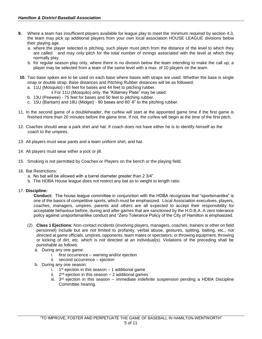- **9.** Where a team has insufficient players available for league play to meet the minimum required by section 4.3, the team may pick up additional players from your own local association HOUSE LEAGUE divisions below their playing age.
	- a. where the player selected is pitching, such player must pitch from the distance of the level to which they are called and may only pitch for the total number of innings associated with the level at which they normally play.
	- b. for regular season play only, where there is no division below the team intending to make the call up, a player may be selected from a team of the same level with a max. of 10 players on the team.
- **10.** Two base spikes are to be used on each base where bases with straps are used. Whether the base is single strap or double strap. Base distances and Pitching Rubber distances will be as followed:
	- a. 11U (Mosquito) i 65 feet for bases and 44 feet to pitching rubber.
		- ii For 11U (Mosquito) only, the "Killarney Plate" may be used.
	- b. 13U (Peewee) 75 feet for bases and 50 feet to pitching rubber.
	- c. 15U (Bantam) and 18U (Midget) 90 bases and 60'-6" to the pitching rubber.
- 11. In the second game of a doubleheader, the curfew will start at the appointed game time if the first game is finished more than 20 minutes before the game time. If not, the curfew will begin at the time of the first pitch.
- 12. Coaches should wear a park shirt and hat. If coach does not have either he is to identify himself as the coach to the umpires.
- 13. All players must wear pants and a team uniform shirt, and hat.
- 14. All players must wear either a jock or jill.
- 15. Smoking is not permitted by Coaches or Players on the bench or the playing field.
- 16. Bat Restrictions:
	- a. No bat will be allowed with a barrel diameter greater than 2 3/4".
	- b. The HDBA House league does not restrict any bat as to weight to length ratio.
- 17. **Discipline:**

**Conduct:** The house league committee in conjunction with the HDBA recognizes that "sportsmanlike" is one of the basics of competitive sports, which must be emphasized. Local Association executives, players, coaches, managers, umpires, parents and others are all expected to accept their responsibility for acceptable behaviour before, during and after games that are sanctioned by the H.D.B.A. A zero tolerance policy against unsportsmanlike conduct and "Zero Tolerance Policy of the City of Hamilton is emphasized.

- (2) **Class 1 Ejections:** Non-contact incidents (involving players, managers, coaches, trainers or other on field personnel) include but are not limited to profanity, verbal abuse, gestures, spitting, baiting, etc., not directed at game officials, umpires, opponents, team mates or spectators; or throwing equipment, throwing or kicking of dirt, etc. which is not directed at an individual(s). Violations of the preceding shall be punishable as follows:
	- a. During any one game:
		- i. first occurrence warning and/or ejection
		- ii. second occurrence ejection
	- b. During any one season:
		- i. 1<sup>st</sup> ejection in this season 1 additional game
		- ii. 2<sup>nd</sup> ejection in this season 2 additional games
		- iii.  $3<sup>rd</sup>$  ejection in this season immediate indefinite suspension pending a HDBA Discipline Committee hearing.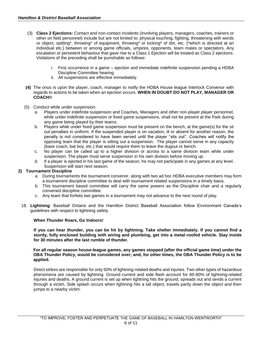- (3) **Class 2 Ejections:** Contact and non-contact incidents (involving players, managers, coaches, trainers or other on field personnel) include but are not limited to: physical touching, fighting, threatening with words or object, spitting\*, throwing\* of equipment, throwing\* or kicking\* of dirt, etc. (\*which is directed at an individual etc.) between or among game officials, umpires, opponents, team mates or spectators. Any escalation or persistent behaviour that gave rise to a Class 1 Ejection will be treated as Class 2 ejections. Violations of the preceding shall be punishable as follows:
	- i. First occurrence in a game ejection and immediate indefinite suspension pending a HDBA Discipline Committee hearing.
	- ii. All suspensions are effective immediately.
- **(4)** The onus is upon the player, coach, manager to notify the HDBA House league Interlock Convenor with regards to actions to be taken when an ejection occurs. **WHEN IN DOUBT DO NOT PLAY, MANAGER OR COACH!!**
- (5) Conduct while under suspension:
	- a. Players under indefinite suspension and Coaches, Managers and other non-player player personnel, while under indefinite suspension or fixed game suspensions, shall not be present at the Park during any game being played by their teams.
	- b. Players while under fixed game suspension must be present on the bench, at the game(s) for the sit out penalties in uniform. If the suspended player is on vacation, ill or absent for another reason, the penalty is not considered to have been served until the player "sits out". Coaches will notify the opposing team that the player is sitting out a suspension. The player cannot serve in any capacity (base coach, bat boy, etc.) that would require them to leave the dugout or bench.
	- c. No player can be called up to a higher division or across to a same division team while under suspension. The player must serve suspension in his own division before moving up.
	- d. If a player is ejected in his last game of the season, he may not participate in any games at any level. Suspension will start next season.

#### **2) Tournament Discipline**

- a. During tournaments the tournament convenor, along with two ad hoc HDBA executive members may form a tournament discipline committee to deal with tournament related suspensions in a timely basis.
- b. This tournament based committee will carry the same powers as the Discipline chair and a regularly convened discipline committee.
- c. Any team that forfeits two games in a tournament may not advance to the next round of play.
- 18. **Lightning**: Baseball Ontario and the Hamilton District Baseball Association follow Environment Canada's guidelines with respect to lightning safety.

#### **When Thunder Roars, Go Indoors!**

**If you can hear thunder, you can be hit by lightning. Take shelter immediately. If you cannot find a sturdy, fully enclosed building with wiring and plumbing, get into a metal-roofed vehicle. Stay inside for 30 minutes after the last rumble of thunder.**

**For all regular season house-league games, any games stopped (after the official game time) under the OBA Thunder Policy, would be considered over; and, for other times, the OBA Thunder Policy is to be applied.**

Direct strikes are responsible for only 50% of lightning-related deaths and injuries. Two other types of hazardous phenomena are caused by lightning. Ground current and side flash account for 60-80% of lightning-related injuries and deaths. A ground current is set up when lightning hits the ground, spreads out and sends a current through a victim. Side splash occurs when lightning hits a tall object, travels partly down the object and then jumps to a nearby victim.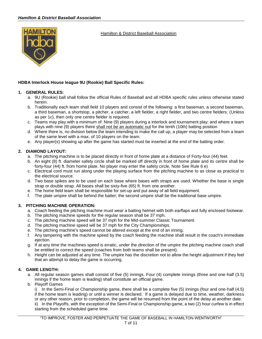

#### Hamilton & District Baseball Association

#### **HDBA Interlock House league 9U (Rookie) Ball Specific Rules:**

#### **1. GENERAL RULES:**

- a. 9U (Rookie) ball shall follow the official Rules of Baseball and all HDBA specific rules unless otherwise stated herein.
- b. Traditionally each team shall field 10 players and consist of the following: a first baseman, a second baseman, a third baseman, a shortstop, a pitcher, a catcher, a left fielder, a right fielder, and two centre fielders. (Unless as per 1c), then only one centre fielder is required.
- c. Teams may play with a minimum of: Nine (9) players during a interlock and tournament play; and where a team plays with nine (9) players there shall not be an automatic out for the tenth (10th) batting position
- d. Where there is, no division below the team intending to make the call up, a player may be selected from a team of the same level with a max. of 10 players on the team.
- e. Any player(s) showing up after the game has started must be inserted at the end of the batting order.

#### **2. DIAMOND LAYOUT:**

- a. The pitching machine is to be placed directly in front of home plate at a distance of Forty-four (44) feet.
- b. An eight (8) ft. diameter safety circle shall be marked off directly in front of home plate and its centre shall be forty-four (44) ft. from home plate. No player may enter the safety circle. Note See Rule 6 e)
- c. Electrical cord must run along under the playing surface from the pitching machine to as close as practical to the electrical source.
- d. Two base spikes are to be used on each base where bases with straps are used. Whether the base is single strap or double strap. All bases shall be sixty-five (65) ft. from one another.
- e. The home field team shall be responsible for set-up and put away of all field equipment.
- f. The plate umpire shall be behind the batter; the second umpire shall be the traditional base umpire.

#### **3. PITCHING MACHINE OPERATION:**

- a. Coach feeding the pitching machine must wear a batting helmet with both earflaps and fully enclosed footwear.
- b. The pitching machine speeds for the regular season shall be 37 mph.
- c. The pitching machine speed will be 37 mph for the Mid-summer Classic Tournament.
- d. The pitching machine speed will be 37 mph for the City Championships.
- e. The pitching machine's speed cannot be altered except at the end of an inning.
- f. Any tampering with the machine speed by the coach feeding the machine shall result in the coach's immediate ejection.
- g. If at any time the machines speed is erratic, under the direction of the umpire the pitching machine coach shall be entitled to correct the speed (coaches from both teams shall be present).
- h. Height can be adjusted at any time. The umpire has the discretion not to allow the height adjustment if they feel that an attempt to delay the game is occurring.

#### **4. GAME LENGTH:**

- a. All regular season games shall consist of five (5) innings. Four (4) complete innings (three and one-half (3.5) innings if the home team is leading) shall constitute an official game.
- b. Playoff Games

i) In the Semi-Final or Championship game, there shall be a complete five (5) innings (four and one-half (4.5) if the home team is leading) or until a winner is declared. If a game is delayed due to time, weather, darkness or any other reason, prior to completion, the game will be resumed from the point of the delay at another date. ii) In the Playoffs, with the exception of the Semi-Final or Championship game, a two (2) hour curfew is in effect starting from the scheduled game time.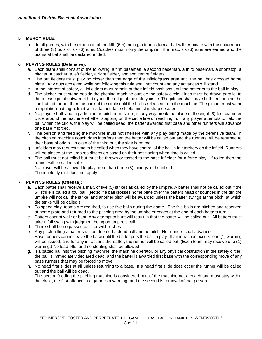#### **5. MERCY RULE:**

a. In all games, with the exception of the fifth (5th) inning, a team's turn at bat will terminate with the occurrence of three (3) outs or six (6) runs. Coaches must notify the umpire if the max. six (6) runs are earned and the teams at bat shall be declared ended.

#### **6. PLAYING RULES (Defensive):**

- a. Each team shall consist of the following: a first baseman, a second baseman, a third baseman, a shortstop, a pitcher, a catcher, a left fielder, a right fielder, and two centre fielders.
- b. The out fielders must play no closer than the edge of the infield/grass area until the ball has crossed home plate. Any outs achieved while not following this rule shall not count and any advances will stand.
- c. In the interest of safety, all infielders must remain at their infield positions until the batter puts the ball in play.
- d. The pitcher must stand beside the pitching machine outside the safety circle. Lines must be drawn parallel to the release point outward 4 ft. beyond the edge of the safety circle. The pitcher shall have both feet behind the line but not further than the back of the circle until the ball is released from the machine. The pitcher must wear a regulation-batting helmet with attached face shield and chinstrap secured.
- e. No player shall, and in particular the pitcher must not, in any way break the plane of the eight (8) foot diameter circle around the machine whether stepping on the circle line or reaching in. If any player attempts to field the ball within the circle, the play will be called dead, the batter awarded first base and other runners will advance one base if forced.
- f. The person and feeding the machine must not interfere with any play being made by the defensive team. If the pitching machine coach does interfere then the batter will be called out and the runners will be returned to their base of origin. In case of the third out, the side is retired.
- g. Infielders may request time to be called when they have control of the ball in fair territory on the infield. Runners will be placed at the umpires discretion based on their positioning when time is called.
- h. The ball must not rolled but must be thrown or tossed to the base infielder for a force play. If rolled then the runner will be called safe.
- i. No player will be allowed to play more than three (3) innings in the infield.
- j. The infield fly rule does not apply.

#### **7. PLAYING RULES (Offense):**

- a. Each batter shall receive a max. of five (5) strikes as called by the umpire. A batter shall not be called out if the 5<sup>th</sup> strike is called a foul ball. (Note: If a ball crosses home plate over the batters head or bounces in the dirt the umpire will not call the strike, and another pitch will be awarded unless the batter swings at the pitch, at which the strike will be called.)
- b. To speed play, teams are required, to use five balls during the game. The five balls are pitched and reserved at home plate and returned to the pitching area by the umpire or coach at the end of each batters turn.
- c. Batters cannot walk or bunt. Any attempt to bunt will result in that the batter will be called out. All batters must take a full swing with judgment being an umpire's call.
- d. There shall be no passed balls or wild pitches.
- e. Any pitch hitting a batter shall be deemed a dead ball and no pitch. No runners shall advance.
- f. Base runners cannot leave the base until the batter puts the ball in play. If an infraction occurs, one (1) warning will be issued, and for any infractions thereafter, the runner will be called out. (Each team may receive one (1) warning.) No lead offs, and no stealing shall be allowed.
- g. If a batted ball hits the pitching machine, the machine operator, or any physical obstruction in the safety circle, the ball is immediately declared dead, and the batter is awarded first base with the corresponding move of any base runners that may be forced to move.
- h. No head first slides at all unless returning to a base. If a head first slide does occur the runner will be called out and the ball will be dead.
- i. The person feeding the pitching machine is considered part of the machine not a coach and must stay within the circle, the first offence in a game is a warning, and the second is removal of that person.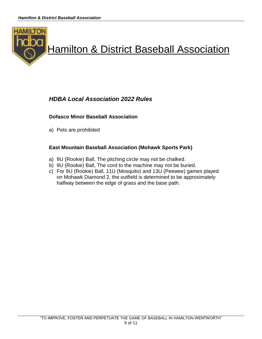

# *HDBA Local Association 2022 Rules*

## **Dofasco Minor Baseball Association**

a) Pets are prohibited

## **East Mountain Baseball Association (Mohawk Sports Park)**

- a) 9U (Rookie) Ball, The pitching circle may not be chalked.
- b) 9U (Rookie) Ball, The cord to the machine may not be buried.
- c) For 9U (Rookie) Ball, 11U (Mosquito) and 13U (Peewee) games played on Mohawk Diamond 2, the outfield is determined to be approximately halfway between the edge of grass and the base path.